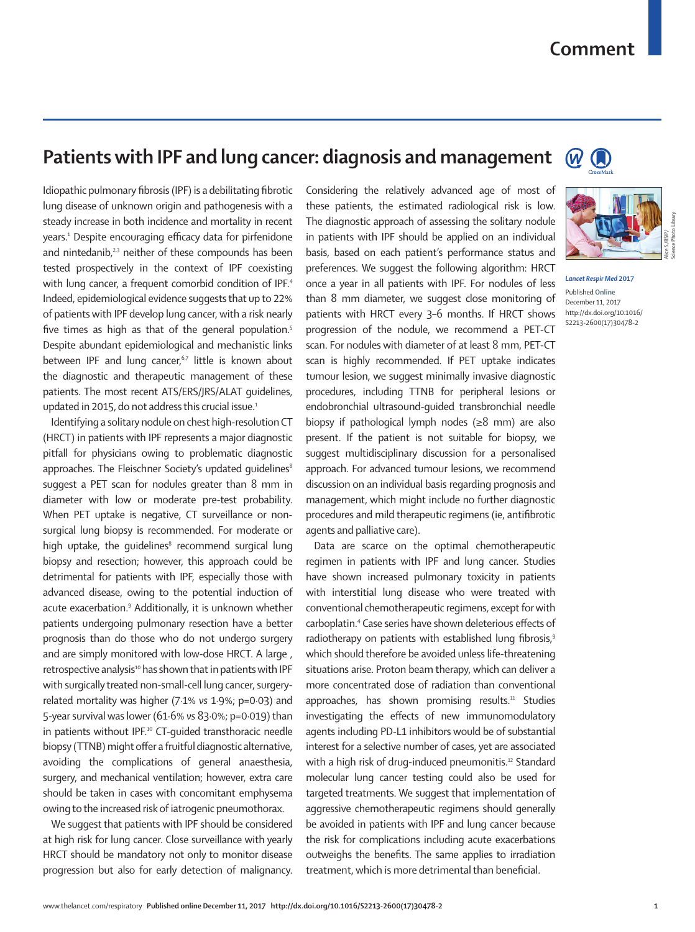## **Comment**

 $\circled{1}$ 

## **Patients with IPF and lung cancer: diagnosis and management** (W

Idiopathic pulmonary fibrosis (IPF) is a debilitating fibrotic lung disease of unknown origin and pathogenesis with a steady increase in both incidence and mortality in recent years.1 Despite encouraging efficacy data for pirfenidone and nintedanib,<sup>2,3</sup> neither of these compounds has been tested prospectively in the context of IPF coexisting with lung cancer, a frequent comorbid condition of IPF.<sup>4</sup> Indeed, epidemiological evidence suggests that up to 22% of patients with IPF develop lung cancer, with a risk nearly five times as high as that of the general population.<sup>5</sup> Despite abundant epidemiological and mechanistic links between IPF and lung cancer,<sup>6,7</sup> little is known about the diagnostic and therapeutic management of these patients. The most recent ATS/ERS/JRS/ALAT guidelines, updated in 2015, do not address this crucial issue.<sup>1</sup>

Identifying a solitary nodule on chest high-resolution CT (HRCT) in patients with IPF represents a major diagnostic pitfall for physicians owing to problematic diagnostic approaches. The Fleischner Society's updated quidelines<sup>8</sup> suggest a PET scan for nodules greater than 8 mm in diameter with low or moderate pre-test probability. When PET uptake is negative, CT surveillance or nonsurgical lung biopsy is recommended. For moderate or high uptake, the guidelines<sup>8</sup> recommend surgical lung biopsy and resection; however, this approach could be detrimental for patients with IPF, especially those with advanced disease, owing to the potential induction of acute exacerbation.9 Additionally, it is unknown whether patients undergoing pulmonary resection have a better prognosis than do those who do not undergo surgery and are simply monitored with low-dose HRCT. A large , retrospective analysis<sup>10</sup> has shown that in patients with IPF with surgically treated non-small-cell lung cancer, surgeryrelated mortality was higher (7·1% *vs* 1·9%; p=0·03) and 5-year survival was lower (61·6% *vs* 83·0%; p=0·019) than in patients without IPF.<sup>10</sup> CT-guided transthoracic needle biopsy (TTNB) might offer a fruitful diagnostic alternative, avoiding the complications of general anaesthesia, surgery, and mechanical ventilation; however, extra care should be taken in cases with concomitant emphysema owing to the increased risk of iatrogenic pneumothorax.

We suggest that patients with IPF should be considered at high risk for lung cancer. Close surveillance with yearly HRCT should be mandatory not only to monitor disease progression but also for early detection of malignancy.

Considering the relatively advanced age of most of these patients, the estimated radiological risk is low. The diagnostic approach of assessing the solitary nodule in patients with IPF should be applied on an individual basis, based on each patient's performance status and preferences. We suggest the following algorithm: HRCT once a year in all patients with IPF. For nodules of less than 8 mm diameter, we suggest close monitoring of patients with HRCT every 3–6 months. If HRCT shows progression of the nodule, we recommend a PET-CT scan. For nodules with diameter of at least 8 mm, PET-CT scan is highly recommended. If PET uptake indicates tumour lesion, we suggest minimally invasive diagnostic procedures, including TTNB for peripheral lesions or endobronchial ultrasound-guided transbronchial needle biopsy if pathological lymph nodes (≥8 mm) are also present. If the patient is not suitable for biopsy, we suggest multidisciplinary discussion for a personalised approach. For advanced tumour lesions, we recommend discussion on an individual basis regarding prognosis and management, which might include no further diagnostic procedures and mild therapeutic regimens (ie, antifibrotic agents and palliative care).

Data are scarce on the optimal chemotherapeutic regimen in patients with IPF and lung cancer. Studies have shown increased pulmonary toxicity in patients with interstitial lung disease who were treated with conventional chemotherapeutic regimens, except for with carboplatin.4 Case series have shown deleterious effects of radiotherapy on patients with established lung fibrosis,<sup>9</sup> which should therefore be avoided unless life-threatening situations arise. Proton beam therapy, which can deliver a more concentrated dose of radiation than conventional approaches, has shown promising results.<sup>11</sup> Studies investigating the effects of new immunomodulatory agents including PD-L1 inhibitors would be of substantial interest for a selective number of cases, yet are associated with a high risk of drug-induced pneumonitis.<sup>12</sup> Standard molecular lung cancer testing could also be used for targeted treatments. We suggest that implementation of aggressive chemotherapeutic regimens should generally be avoided in patients with IPF and lung cancer because the risk for complications including acute exacerbations outweighs the benefits. The same applies to irradiation treatment, which is more detrimental than beneficial.



*Lancet Respir Med* **2017** Published **Online** December 11, 2017 http://dx.doi.org/10.1016/ S2213-2600(17)30478-2